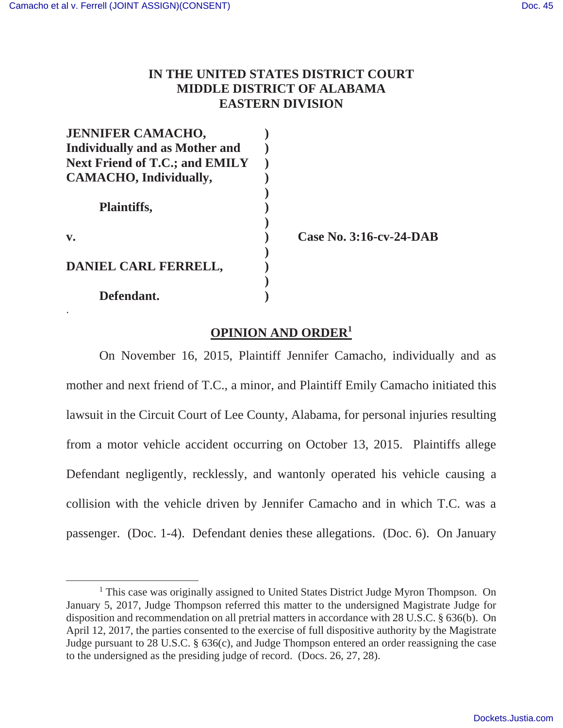.

## **IN THE UNITED STATES DISTRICT COURT MIDDLE DISTRICT OF ALABAMA EASTERN DIVISION**

| <b>JENNIFER CAMACHO,</b>              |                                |
|---------------------------------------|--------------------------------|
| <b>Individually and as Mother and</b> |                                |
| <b>Next Friend of T.C.; and EMILY</b> |                                |
| CAMACHO, Individually,                |                                |
| <b>Plaintiffs,</b>                    |                                |
| $\mathbf{v}$ .                        | <b>Case No. 3:16-cv-24-DAB</b> |
| DANIEL CARL FERRELL,                  |                                |
| Defendant.                            |                                |

## **OPINION AND ORDER<sup>1</sup>**

On November 16, 2015, Plaintiff Jennifer Camacho, individually and as mother and next friend of T.C., a minor, and Plaintiff Emily Camacho initiated this lawsuit in the Circuit Court of Lee County, Alabama, for personal injuries resulting from a motor vehicle accident occurring on October 13, 2015. Plaintiffs allege Defendant negligently, recklessly, and wantonly operated his vehicle causing a collision with the vehicle driven by Jennifer Camacho and in which T.C. was a passenger. (Doc. 1-4). Defendant denies these allegations. (Doc. 6). On January

<sup>&</sup>lt;sup>1</sup> This case was originally assigned to United States District Judge Myron Thompson. On January 5, 2017, Judge Thompson referred this matter to the undersigned Magistrate Judge for disposition and recommendation on all pretrial matters in accordance with 28 U.S.C. § 636(b). On April 12, 2017, the parties consented to the exercise of full dispositive authority by the Magistrate Judge pursuant to 28 U.S.C. § 636(c), and Judge Thompson entered an order reassigning the case to the undersigned as the presiding judge of record. (Docs. 26, 27, 28).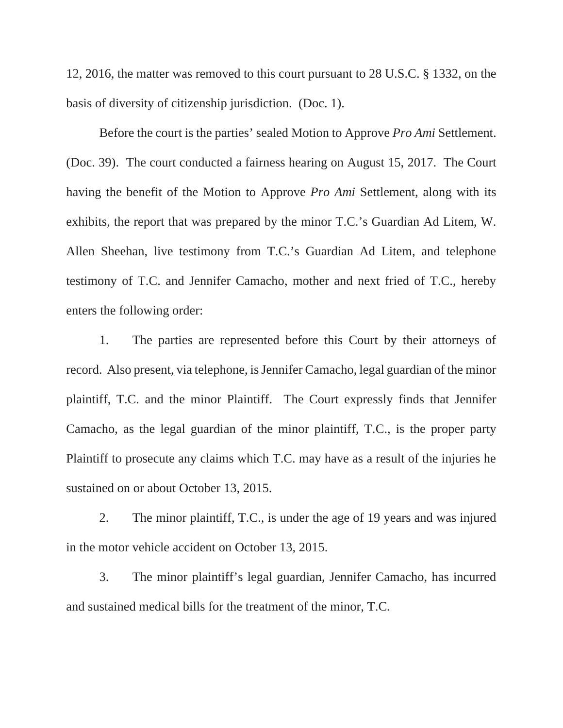12, 2016, the matter was removed to this court pursuant to 28 U.S.C. § 1332, on the basis of diversity of citizenship jurisdiction. (Doc. 1).

Before the court is the parties' sealed Motion to Approve *Pro Ami* Settlement. (Doc. 39). The court conducted a fairness hearing on August 15, 2017. The Court having the benefit of the Motion to Approve *Pro Ami* Settlement, along with its exhibits, the report that was prepared by the minor T.C.'s Guardian Ad Litem, W. Allen Sheehan, live testimony from T.C.'s Guardian Ad Litem, and telephone testimony of T.C. and Jennifer Camacho, mother and next fried of T.C., hereby enters the following order:

 1. The parties are represented before this Court by their attorneys of record. Also present, via telephone, is Jennifer Camacho, legal guardian of the minor plaintiff, T.C. and the minor Plaintiff. The Court expressly finds that Jennifer Camacho, as the legal guardian of the minor plaintiff, T.C., is the proper party Plaintiff to prosecute any claims which T.C. may have as a result of the injuries he sustained on or about October 13, 2015.

 2. The minor plaintiff, T.C., is under the age of 19 years and was injured in the motor vehicle accident on October 13, 2015.

 3. The minor plaintiff's legal guardian, Jennifer Camacho, has incurred and sustained medical bills for the treatment of the minor, T.C.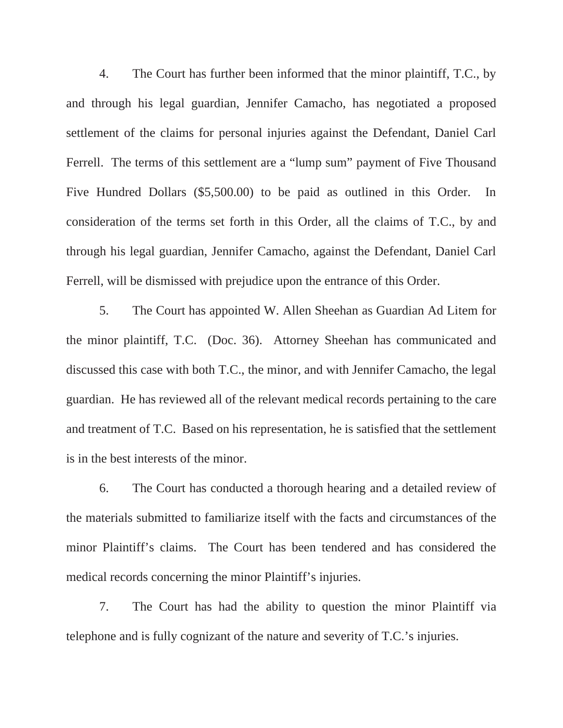4. The Court has further been informed that the minor plaintiff, T.C., by and through his legal guardian, Jennifer Camacho, has negotiated a proposed settlement of the claims for personal injuries against the Defendant, Daniel Carl Ferrell. The terms of this settlement are a "lump sum" payment of Five Thousand Five Hundred Dollars (\$5,500.00) to be paid as outlined in this Order. In consideration of the terms set forth in this Order, all the claims of T.C., by and through his legal guardian, Jennifer Camacho, against the Defendant, Daniel Carl Ferrell, will be dismissed with prejudice upon the entrance of this Order.

 5. The Court has appointed W. Allen Sheehan as Guardian Ad Litem for the minor plaintiff, T.C. (Doc. 36). Attorney Sheehan has communicated and discussed this case with both T.C., the minor, and with Jennifer Camacho, the legal guardian. He has reviewed all of the relevant medical records pertaining to the care and treatment of T.C. Based on his representation, he is satisfied that the settlement is in the best interests of the minor.

 6. The Court has conducted a thorough hearing and a detailed review of the materials submitted to familiarize itself with the facts and circumstances of the minor Plaintiff's claims. The Court has been tendered and has considered the medical records concerning the minor Plaintiff's injuries.

 7. The Court has had the ability to question the minor Plaintiff via telephone and is fully cognizant of the nature and severity of T.C.'s injuries.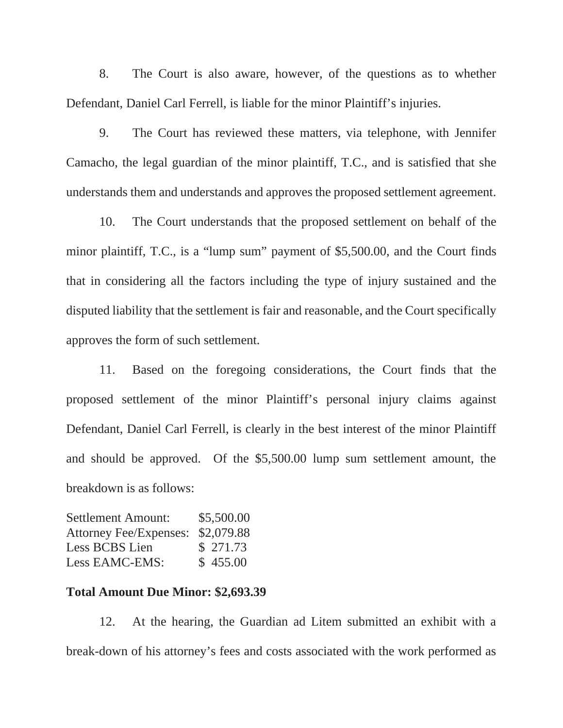8. The Court is also aware, however, of the questions as to whether Defendant, Daniel Carl Ferrell, is liable for the minor Plaintiff's injuries.

 9. The Court has reviewed these matters, via telephone, with Jennifer Camacho, the legal guardian of the minor plaintiff, T.C., and is satisfied that she understands them and understands and approves the proposed settlement agreement.

 10. The Court understands that the proposed settlement on behalf of the minor plaintiff, T.C., is a "lump sum" payment of \$5,500.00, and the Court finds that in considering all the factors including the type of injury sustained and the disputed liability that the settlement is fair and reasonable, and the Court specifically approves the form of such settlement.

 11. Based on the foregoing considerations, the Court finds that the proposed settlement of the minor Plaintiff's personal injury claims against Defendant, Daniel Carl Ferrell, is clearly in the best interest of the minor Plaintiff and should be approved. Of the \$5,500.00 lump sum settlement amount, the breakdown is as follows:

| <b>Settlement Amount:</b>     | \$5,500.00 |
|-------------------------------|------------|
| <b>Attorney Fee/Expenses:</b> | \$2,079.88 |
| Less BCBS Lien                | \$ 271.73  |
| Less EAMC-EMS:                | \$455.00   |

## **Total Amount Due Minor: \$2,693.39**

 12. At the hearing, the Guardian ad Litem submitted an exhibit with a break-down of his attorney's fees and costs associated with the work performed as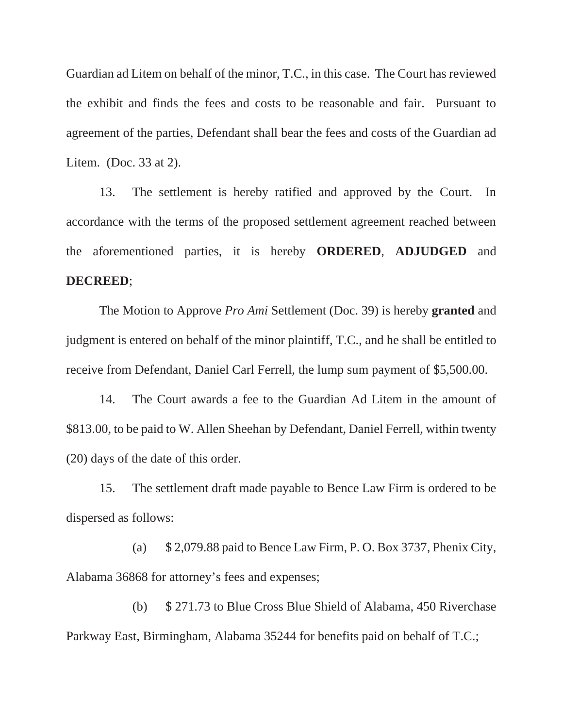Guardian ad Litem on behalf of the minor, T.C., in this case. The Court has reviewed the exhibit and finds the fees and costs to be reasonable and fair. Pursuant to agreement of the parties, Defendant shall bear the fees and costs of the Guardian ad Litem. (Doc. 33 at 2).

 13. The settlement is hereby ratified and approved by the Court. In accordance with the terms of the proposed settlement agreement reached between the aforementioned parties, it is hereby **ORDERED**, **ADJUDGED** and **DECREED**;

 The Motion to Approve *Pro Ami* Settlement (Doc. 39) is hereby **granted** and judgment is entered on behalf of the minor plaintiff, T.C., and he shall be entitled to receive from Defendant, Daniel Carl Ferrell, the lump sum payment of \$5,500.00.

 14. The Court awards a fee to the Guardian Ad Litem in the amount of \$813.00, to be paid to W. Allen Sheehan by Defendant, Daniel Ferrell, within twenty (20) days of the date of this order.

 15. The settlement draft made payable to Bence Law Firm is ordered to be dispersed as follows:

 (a) \$ 2,079.88 paid to Bence Law Firm, P. O. Box 3737, Phenix City, Alabama 36868 for attorney's fees and expenses;

 (b) \$ 271.73 to Blue Cross Blue Shield of Alabama, 450 Riverchase Parkway East, Birmingham, Alabama 35244 for benefits paid on behalf of T.C.;